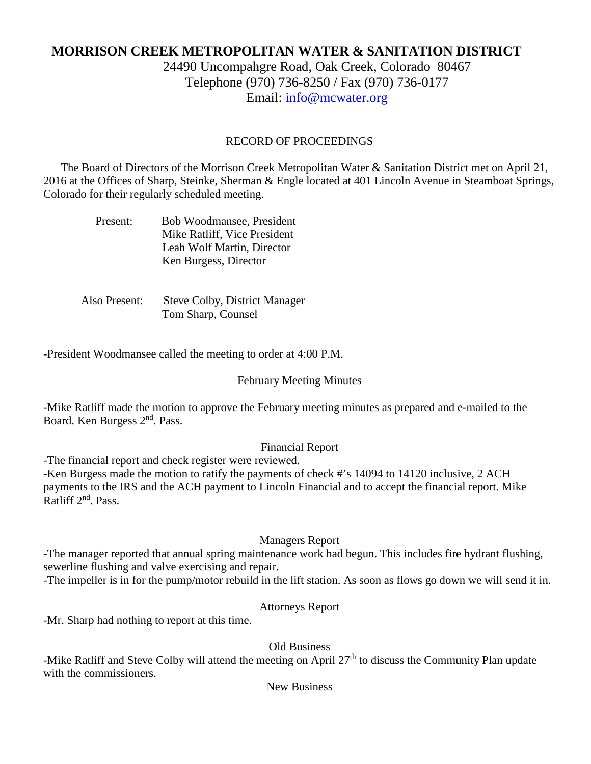# **MORRISON CREEK METROPOLITAN WATER & SANITATION DISTRICT**

24490 Uncompahgre Road, Oak Creek, Colorado 80467 Telephone (970) 736-8250 / Fax (970) 736-0177 Email: [info@mcwater.org](mailto:info@mcwater.org)

# RECORD OF PROCEEDINGS

 The Board of Directors of the Morrison Creek Metropolitan Water & Sanitation District met on April 21, 2016 at the Offices of Sharp, Steinke, Sherman & Engle located at 401 Lincoln Avenue in Steamboat Springs, Colorado for their regularly scheduled meeting.

| Present: | Bob Woodmansee, President    |
|----------|------------------------------|
|          | Mike Ratliff, Vice President |
|          | Leah Wolf Martin, Director   |
|          | Ken Burgess, Director        |

 Also Present: Steve Colby, District Manager Tom Sharp, Counsel

-President Woodmansee called the meeting to order at 4:00 P.M.

#### February Meeting Minutes

-Mike Ratliff made the motion to approve the February meeting minutes as prepared and e-mailed to the Board. Ken Burgess 2nd. Pass.

## Financial Report

-The financial report and check register were reviewed.

-Ken Burgess made the motion to ratify the payments of check #'s 14094 to 14120 inclusive, 2 ACH payments to the IRS and the ACH payment to Lincoln Financial and to accept the financial report. Mike Ratliff 2<sup>nd</sup>. Pass.

#### Managers Report

-The manager reported that annual spring maintenance work had begun. This includes fire hydrant flushing, sewerline flushing and valve exercising and repair.

-The impeller is in for the pump/motor rebuild in the lift station. As soon as flows go down we will send it in.

# Attorneys Report

-Mr. Sharp had nothing to report at this time.

Old Business

-Mike Ratliff and Steve Colby will attend the meeting on April 27<sup>th</sup> to discuss the Community Plan update with the commissioners.

## New Business